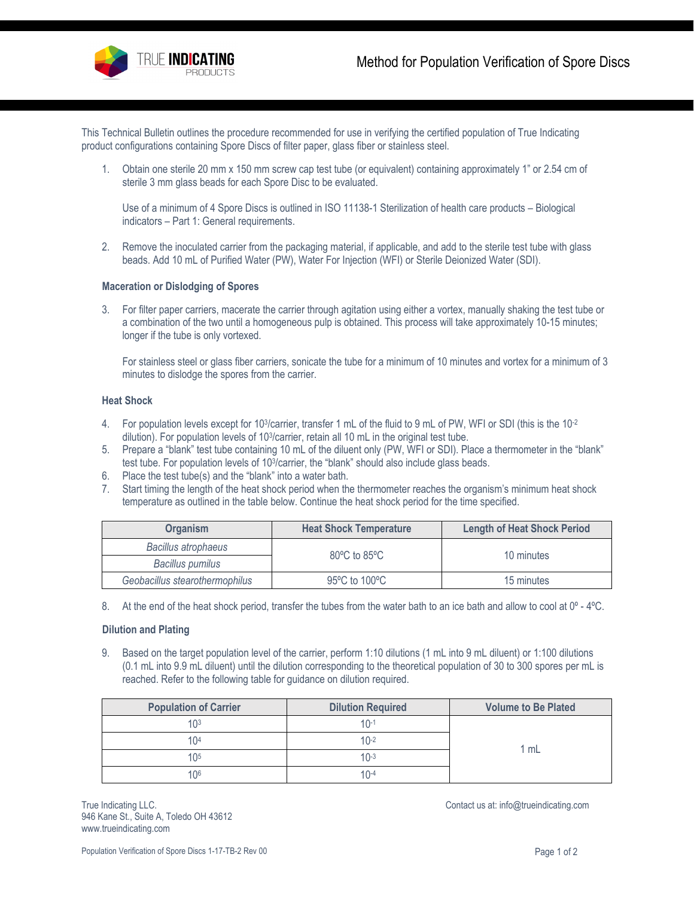This Technical Bulletin outlines the procedure recommended for use in verifying the certified population of True Indicating product configurations containing Spore Discs of filter paper, glass fiber or stainless steel.

1. Obtain one sterile 20 mm x 150 mm screw cap test tube (or equivalent) containing approximately 1" or 2.54 cm of sterile 3 mm glass beads for each Spore Disc to be evaluated.

Use of a minimum of 4 Spore Discs is outlined in ISO 11138-1 Sterilization of health care products – Biological indicators – Part 1: General requirements.

2. Remove the inoculated carrier from the packaging material, if applicable, and add to the sterile test tube with glass beads. Add 10 mL of Purified Water (PW), Water For Injection (WFI) or Sterile Deionized Water (SDI).

### **Maceration or Dislodging of Spores**

3. For filter paper carriers, macerate the carrier through agitation using either a vortex, manually shaking the test tube or a combination of the two until a homogeneous pulp is obtained. This process will take approximately 10-15 minutes; longer if the tube is only vortexed.

For stainless steel or glass fiber carriers, sonicate the tube for a minimum of 10 minutes and vortex for a minimum of 3 minutes to dislodge the spores from the carrier.

# **Heat Shock**

- 4. For population levels except for 10<sup>3</sup>/carrier, transfer 1 mL of the fluid to 9 mL of PW, WFI or SDI (this is the 10<sup>-2</sup> dilution). For population levels of 103/carrier, retain all 10 mL in the original test tube.
- 5. Prepare a "blank" test tube containing 10 mL of the diluent only (PW, WFI or SDI). Place a thermometer in the "blank" test tube. For population levels of 103/carrier, the "blank" should also include glass beads.
- 6. Place the test tube(s) and the "blank" into a water bath.
- 7. Start timing the length of the heat shock period when the thermometer reaches the organism's minimum heat shock temperature as outlined in the table below. Continue the heat shock period for the time specified.

| <b>Organism</b>                | <b>Heat Shock Temperature</b>    | <b>Length of Heat Shock Period</b> |  |
|--------------------------------|----------------------------------|------------------------------------|--|
| Bacillus atrophaeus            | $80^{\circ}$ C to $85^{\circ}$ C | 10 minutes                         |  |
| Bacillus pumilus               |                                  |                                    |  |
| Geobacillus stearothermophilus | 95°C to 100°C                    | 15 minutes                         |  |

8. At the end of the heat shock period, transfer the tubes from the water bath to an ice bath and allow to cool at 0° - 4°C.

## **Dilution and Plating**

9. Based on the target population level of the carrier, perform 1:10 dilutions (1 mL into 9 mL diluent) or 1:100 dilutions (0.1 mL into 9.9 mL diluent) until the dilution corresponding to the theoretical population of 30 to 300 spores per mL is reached. Refer to the following table for guidance on dilution required.

| <b>Population of Carrier</b> | <b>Dilution Required</b> |      |  |
|------------------------------|--------------------------|------|--|
| 1 በ3                         | $10-1$                   | 1 mL |  |
| 10 <sup>4</sup>              | $10-2$                   |      |  |
| 1 $\cap$ <sup>5</sup>        | $10-3$                   |      |  |
| 106                          | $10-4$                   |      |  |

True Indicating LLC. The Indicating LCC. Contact us at[: info@trueindicating.com](mailto:info@trueindicating.com) 946 Kane St., Suite A, Toledo OH 43612 www.trueindicating.com